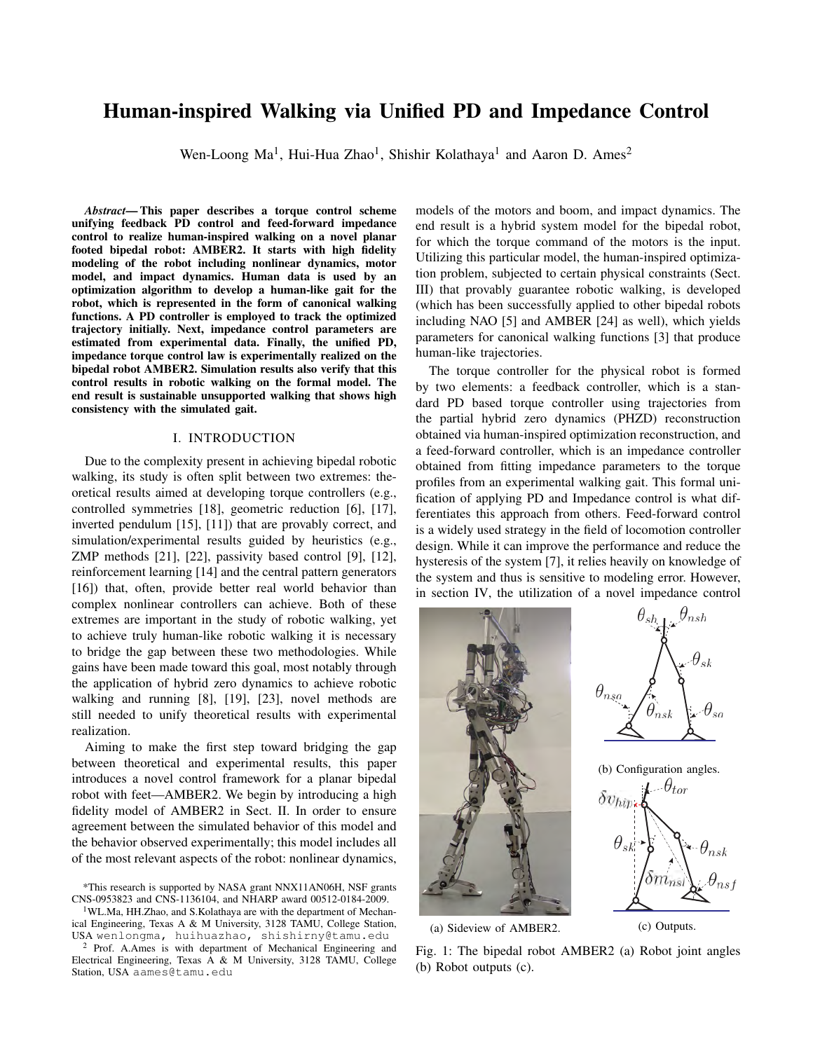# Human-inspired Walking via Unified PD and Impedance Control

Wen-Loong Ma<sup>1</sup>, Hui-Hua Zhao<sup>1</sup>, Shishir Kolathaya<sup>1</sup> and Aaron D. Ames<sup>2</sup>

*Abstract*— This paper describes a torque control scheme unifying feedback PD control and feed-forward impedance control to realize human-inspired walking on a novel planar footed bipedal robot: AMBER2. It starts with high fidelity modeling of the robot including nonlinear dynamics, motor model, and impact dynamics. Human data is used by an optimization algorithm to develop a human-like gait for the robot, which is represented in the form of canonical walking functions. A PD controller is employed to track the optimized trajectory initially. Next, impedance control parameters are estimated from experimental data. Finally, the unified PD, impedance torque control law is experimentally realized on the bipedal robot AMBER2. Simulation results also verify that this control results in robotic walking on the formal model. The end result is sustainable unsupported walking that shows high consistency with the simulated gait.

## I. INTRODUCTION

Due to the complexity present in achieving bipedal robotic walking, its study is often split between two extremes: theoretical results aimed at developing torque controllers (e.g., controlled symmetries [18], geometric reduction [6], [17], inverted pendulum [15], [11]) that are provably correct, and simulation/experimental results guided by heuristics (e.g., ZMP methods [21], [22], passivity based control [9], [12], reinforcement learning [14] and the central pattern generators [16]) that, often, provide better real world behavior than complex nonlinear controllers can achieve. Both of these extremes are important in the study of robotic walking, yet to achieve truly human-like robotic walking it is necessary to bridge the gap between these two methodologies. While gains have been made toward this goal, most notably through the application of hybrid zero dynamics to achieve robotic walking and running [8], [19], [23], novel methods are still needed to unify theoretical results with experimental realization.

Aiming to make the first step toward bridging the gap between theoretical and experimental results, this paper introduces a novel control framework for a planar bipedal robot with feet—AMBER2. We begin by introducing a high fidelity model of AMBER2 in Sect. II. In order to ensure agreement between the simulated behavior of this model and the behavior observed experimentally; this model includes all of the most relevant aspects of the robot: nonlinear dynamics,

\*This research is supported by NASA grant NNX11AN06H, NSF grants CNS-0953823 and CNS-1136104, and NHARP award 00512-0184-2009.

<sup>1</sup>WL.Ma, HH.Zhao, and S.Kolathaya are with the department of Mechanical Engineering, Texas A & M University, 3128 TAMU, College Station, USA wenlongma, huihuazhao, shishirny@tamu.edu

<sup>2</sup> Prof. A.Ames is with department of Mechanical Engineering and Electrical Engineering, Texas A & M University, 3128 TAMU, College Station, USA aames@tamu.edu

models of the motors and boom, and impact dynamics. The end result is a hybrid system model for the bipedal robot, for which the torque command of the motors is the input. Utilizing this particular model, the human-inspired optimization problem, subjected to certain physical constraints (Sect. III) that provably guarantee robotic walking, is developed (which has been successfully applied to other bipedal robots including NAO [5] and AMBER [24] as well), which yields parameters for canonical walking functions [3] that produce human-like trajectories.

The torque controller for the physical robot is formed by two elements: a feedback controller, which is a standard PD based torque controller using trajectories from the partial hybrid zero dynamics (PHZD) reconstruction obtained via human-inspired optimization reconstruction, and a feed-forward controller, which is an impedance controller obtained from fitting impedance parameters to the torque profiles from an experimental walking gait. This formal unification of applying PD and Impedance control is what differentiates this approach from others. Feed-forward control is a widely used strategy in the field of locomotion controller design. While it can improve the performance and reduce the hysteresis of the system [7], it relies heavily on knowledge of the system and thus is sensitive to modeling error. However, in section IV, the utilization of a novel impedance control



(a) Sideview of AMBER2.

(c) Outputs.

Fig. 1: The bipedal robot AMBER2 (a) Robot joint angles (b) Robot outputs (c).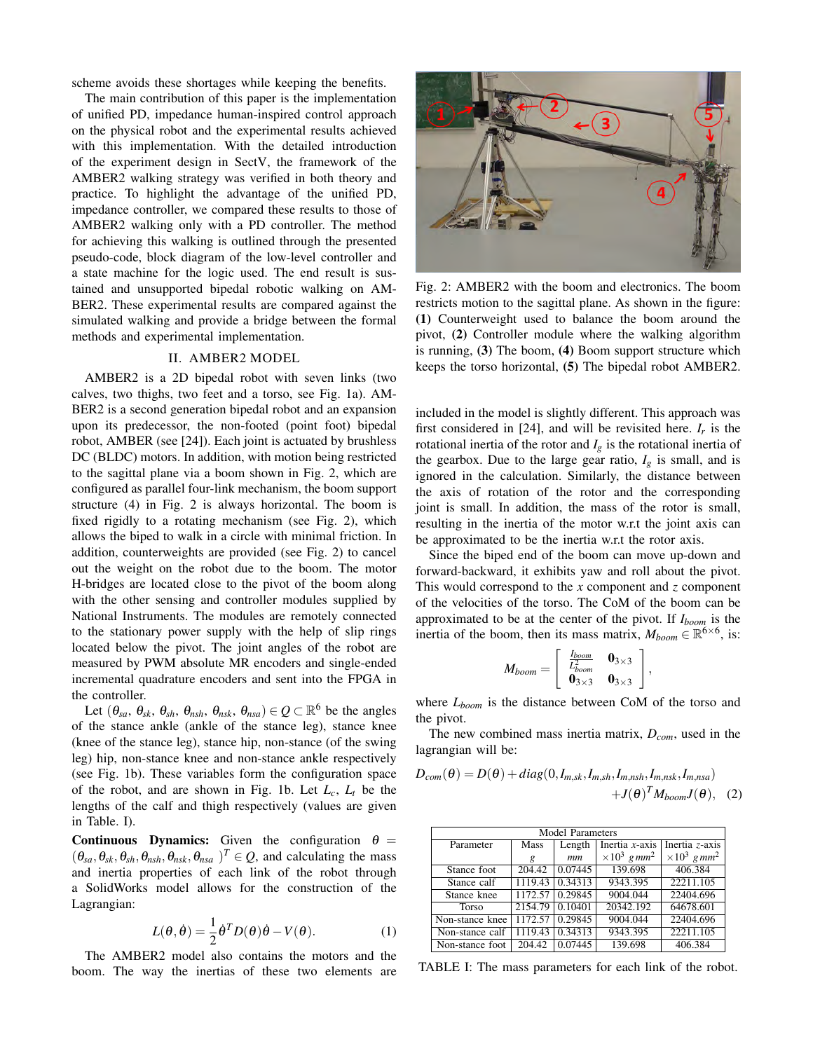scheme avoids these shortages while keeping the benefits.

The main contribution of this paper is the implementation of unified PD, impedance human-inspired control approach on the physical robot and the experimental results achieved with this implementation. With the detailed introduction of the experiment design in SectV, the framework of the AMBER2 walking strategy was verified in both theory and practice. To highlight the advantage of the unified PD, impedance controller, we compared these results to those of AMBER2 walking only with a PD controller. The method for achieving this walking is outlined through the presented pseudo-code, block diagram of the low-level controller and a state machine for the logic used. The end result is sustained and unsupported bipedal robotic walking on AM-BER2. These experimental results are compared against the simulated walking and provide a bridge between the formal methods and experimental implementation.

## II. AMBER2 MODEL

AMBER2 is a 2D bipedal robot with seven links (two calves, two thighs, two feet and a torso, see Fig. 1a). AM-BER2 is a second generation bipedal robot and an expansion upon its predecessor, the non-footed (point foot) bipedal robot, AMBER (see [24]). Each joint is actuated by brushless DC (BLDC) motors. In addition, with motion being restricted to the sagittal plane via a boom shown in Fig. 2, which are configured as parallel four-link mechanism, the boom support structure (4) in Fig. 2 is always horizontal. The boom is fixed rigidly to a rotating mechanism (see Fig. 2), which allows the biped to walk in a circle with minimal friction. In addition, counterweights are provided (see Fig. 2) to cancel out the weight on the robot due to the boom. The motor H-bridges are located close to the pivot of the boom along with the other sensing and controller modules supplied by National Instruments. The modules are remotely connected to the stationary power supply with the help of slip rings located below the pivot. The joint angles of the robot are measured by PWM absolute MR encoders and single-ended incremental quadrature encoders and sent into the FPGA in the controller.

Let  $(\theta_{sa}, \theta_{sk}, \theta_{sh}, \theta_{nsh}, \theta_{nsk}, \theta_{nsa}) \in Q \subset \mathbb{R}^6$  be the angles of the stance ankle (ankle of the stance leg), stance knee (knee of the stance leg), stance hip, non-stance (of the swing leg) hip, non-stance knee and non-stance ankle respectively (see Fig. 1b). These variables form the configuration space of the robot, and are shown in Fig. 1b. Let  $L_c$ ,  $L_t$  be the lengths of the calf and thigh respectively (values are given in Table. I).

Continuous Dynamics: Given the configuration  $\theta =$  $(\theta_{sa}, \theta_{sk}, \theta_{sh}, \theta_{nsh}, \theta_{nsk}, \theta_{nsa})^T \in Q$ , and calculating the mass and inertia properties of each link of the robot through a SolidWorks model allows for the construction of the Lagrangian:

$$
L(\theta, \dot{\theta}) = \frac{1}{2} \dot{\theta}^T D(\theta) \dot{\theta} - V(\theta).
$$
 (1)

The AMBER2 model also contains the motors and the boom. The way the inertias of these two elements are



Fig. 2: AMBER2 with the boom and electronics. The boom restricts motion to the sagittal plane. As shown in the figure: (1) Counterweight used to balance the boom around the pivot, (2) Controller module where the walking algorithm is running, (3) The boom, (4) Boom support structure which keeps the torso horizontal, (5) The bipedal robot AMBER2.

included in the model is slightly different. This approach was first considered in [24], and will be revisited here.  $I_r$  is the rotational inertia of the rotor and  $I_g$  is the rotational inertia of the gearbox. Due to the large gear ratio,  $I_g$  is small, and is ignored in the calculation. Similarly, the distance between the axis of rotation of the rotor and the corresponding joint is small. In addition, the mass of the rotor is small, resulting in the inertia of the motor w.r.t the joint axis can be approximated to be the inertia w.r.t the rotor axis.

Since the biped end of the boom can move up-down and forward-backward, it exhibits yaw and roll about the pivot. This would correspond to the *x* component and *z* component of the velocities of the torso. The CoM of the boom can be approximated to be at the center of the pivot. If *Iboom* is the inertia of the boom, then its mass matrix,  $M_{\text{boom}} \in \mathbb{R}^{6 \times 6}$ , is:

$$
M_{boom} = \left[ \begin{array}{cc} \frac{I_{boom}}{L_{boom}^2} & \mathbf{0}_{3 \times 3} \\ \mathbf{0}_{3 \times 3} & \mathbf{0}_{3 \times 3} \end{array} \right],
$$

where *Lboom* is the distance between CoM of the torso and the pivot.

The new combined mass inertia matrix, *Dcom*, used in the lagrangian will be:

$$
D_{com}(\theta) = D(\theta) + diag(0, I_{m,sk}, I_{m,sh}, I_{m,nsh}, I_{m,nsk}, I_{m,nsa})
$$
  
+ $J(\theta)^{T} M_{boom} J(\theta)$ , (2)

| Model Parameters |                     |         |                                 |                                 |
|------------------|---------------------|---------|---------------------------------|---------------------------------|
| Parameter        | Mass                | Length  | Inertia $x$ -axis               | Inertia z-axis                  |
|                  | g                   | mm      | $\times 10^3$ g mm <sup>2</sup> | $\times 10^3$ g mm <sup>2</sup> |
| Stance foot      | $\overline{204.42}$ | 0.07445 | 139.698                         | 406.384                         |
| Stance calf      | 1119.43             | 0.34313 | 9343.395                        | 22211.105                       |
| Stance knee      | 1172.57             | 0.29845 | 9004.044                        | 22404.696                       |
| Torso            | 2154.79             | 0.10401 | 20342.192                       | 64678.601                       |
| Non-stance knee  | 1172.57             | 0.29845 | 9004.044                        | 22404.696                       |
| Non-stance calf  | 1119.43             | 0.34313 | 9343.395                        | 22211.105                       |
| Non-stance foot  | 204.42              | 0.07445 | 139.698                         | 406.384                         |

TABLE I: The mass parameters for each link of the robot.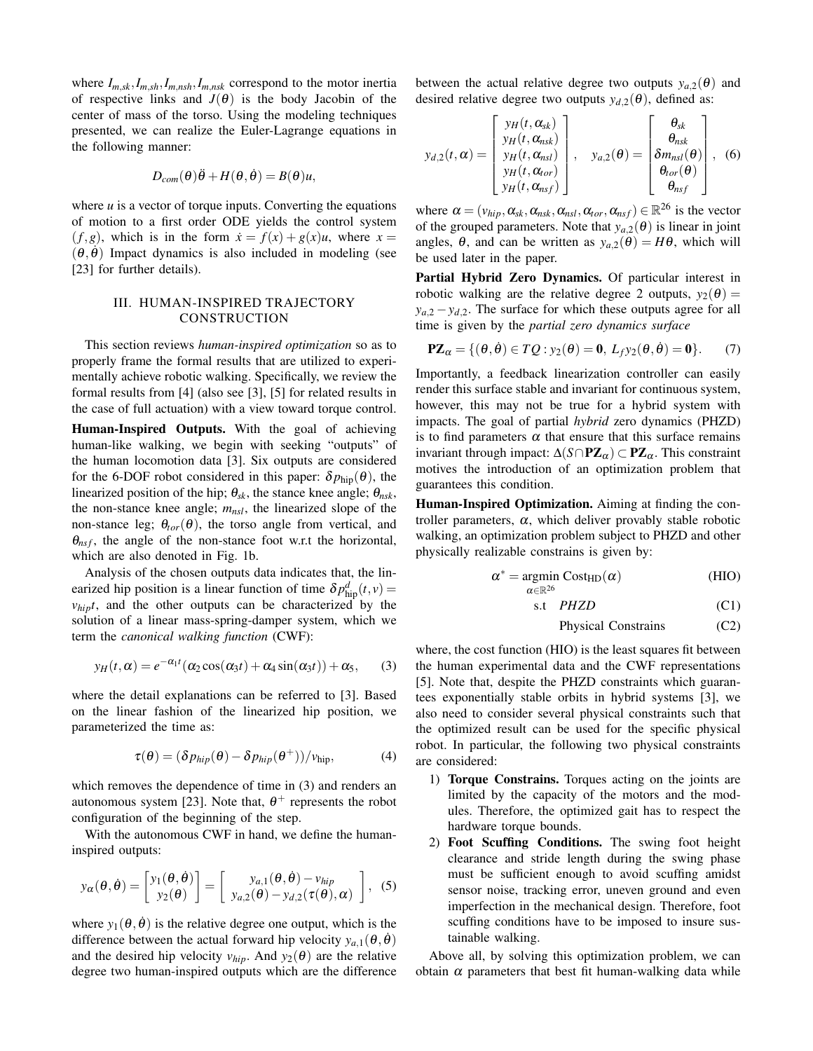where  $I_{m,sk}, I_{m,sh}, I_{m,nsh}, I_{m,nsk}$  correspond to the motor inertia of respective links and  $J(\theta)$  is the body Jacobin of the center of mass of the torso. Using the modeling techniques presented, we can realize the Euler-Lagrange equations in the following manner:

$$
D_{com}(\theta)\ddot{\theta} + H(\theta, \dot{\theta}) = B(\theta)u,
$$

where  $u$  is a vector of torque inputs. Converting the equations of motion to a first order ODE yields the control system  $(f,g)$ , which is in the form  $\dot{x} = f(x) + g(x)u$ , where  $x =$  $(\theta, \dot{\theta})$  Impact dynamics is also included in modeling (see [23] for further details).

## III. HUMAN-INSPIRED TRAJECTORY CONSTRUCTION

This section reviews *human-inspired optimization* so as to properly frame the formal results that are utilized to experimentally achieve robotic walking. Specifically, we review the formal results from [4] (also see [3], [5] for related results in the case of full actuation) with a view toward torque control.

Human-Inspired Outputs. With the goal of achieving human-like walking, we begin with seeking "outputs" of the human locomotion data [3]. Six outputs are considered for the 6-DOF robot considered in this paper:  $\delta p_{\text{hip}}(\theta)$ , the linearized position of the hip;  $\theta_{sk}$ , the stance knee angle;  $\theta_{nsk}$ , the non-stance knee angle;  $m_{nsl}$ , the linearized slope of the non-stance leg;  $\theta_{tor}(\theta)$ , the torso angle from vertical, and  $\theta_{nsf}$ , the angle of the non-stance foot w.r.t the horizontal, which are also denoted in Fig. 1b.

Analysis of the chosen outputs data indicates that, the linearized hip position is a linear function of time  $\delta p_{\text{hip}}^d(t, v)$  =  $v_{hip}t$ , and the other outputs can be characterized by the solution of a linear mass-spring-damper system, which we term the *canonical walking function* (CWF):

$$
y_H(t,\alpha) = e^{-\alpha_1 t} (\alpha_2 \cos(\alpha_3 t) + \alpha_4 \sin(\alpha_3 t)) + \alpha_5, \quad (3)
$$

where the detail explanations can be referred to [3]. Based on the linear fashion of the linearized hip position, we parameterized the time as:

$$
\tau(\theta) = (\delta p_{hip}(\theta) - \delta p_{hip}(\theta^+))/v_{hip},
$$
\n(4)

which removes the dependence of time in (3) and renders an autonomous system [23]. Note that,  $\theta^+$  represents the robot configuration of the beginning of the step.

With the autonomous CWF in hand, we define the humaninspired outputs:

$$
y_{\alpha}(\theta, \dot{\theta}) = \begin{bmatrix} y_1(\theta, \dot{\theta}) \\ y_2(\theta) \end{bmatrix} = \begin{bmatrix} y_{a,1}(\theta, \dot{\theta}) - v_{hip} \\ y_{a,2}(\theta) - y_{d,2}(\tau(\theta), \alpha) \end{bmatrix}, (5)
$$

where  $y_1(\theta, \theta)$  is the relative degree one output, which is the difference between the actual forward hip velocity  $y_{a,1}(\theta, \dot{\theta})$ and the desired hip velocity  $v_{hip}$ . And  $y_2(\theta)$  are the relative degree two human-inspired outputs which are the difference between the actual relative degree two outputs  $y_{a,2}(\theta)$  and desired relative degree two outputs  $y_{d,2}(\theta)$ , defined as:

$$
y_{d,2}(t,\alpha) = \begin{bmatrix} y_H(t,\alpha_{sk}) \\ y_H(t,\alpha_{nsk}) \\ y_H(t,\alpha_{nsl}) \\ y_H(t,\alpha_{nsf}) \\ y_H(t,\alpha_{nsf}) \end{bmatrix}, \quad y_{a,2}(\theta) = \begin{bmatrix} \theta_{sk} \\ \theta_{nsk} \\ \delta m_{nsl}(\theta) \\ \theta_{tor}(\theta) \\ \theta_{nsf} \end{bmatrix}, \quad (6)
$$

where  $\alpha = (v_{hip}, \alpha_{sk}, \alpha_{nsk}, \alpha_{nsl}, \alpha_{tor}, \alpha_{nsf}) \in \mathbb{R}^{26}$  is the vector of the grouped parameters. Note that  $y_{a,2}(\theta)$  is linear in joint angles,  $\theta$ , and can be written as  $y_{a,2}(\theta) = H\theta$ , which will be used later in the paper.

Partial Hybrid Zero Dynamics. Of particular interest in robotic walking are the relative degree 2 outputs,  $y_2(\theta) =$  $y_{a,2} - y_{d,2}$ . The surface for which these outputs agree for all time is given by the *partial zero dynamics surface*

$$
\mathbf{PZ}_{\alpha} = \{(\theta, \dot{\theta}) \in TQ : y_2(\theta) = \mathbf{0}, L_f y_2(\theta, \dot{\theta}) = \mathbf{0}\}.
$$
 (7)

Importantly, a feedback linearization controller can easily render this surface stable and invariant for continuous system, however, this may not be true for a hybrid system with impacts. The goal of partial *hybrid* zero dynamics (PHZD) is to find parameters  $\alpha$  that ensure that this surface remains invariant through impact:  $\Delta(S \cap PZ_{\alpha}) \subset PZ_{\alpha}$ . This constraint motives the introduction of an optimization problem that guarantees this condition.

Human-Inspired Optimization. Aiming at finding the controller parameters,  $\alpha$ , which deliver provably stable robotic walking, an optimization problem subject to PHZD and other physically realizable constrains is given by:

$$
\alpha^* = \underset{\alpha \in \mathbb{R}^{26}}{\text{argmin }} \text{Cost}_{HD}(\alpha) \tag{HIO}
$$

$$
s.t \quad PHZD \tag{C1}
$$

$$
Physical Constraints \t(C2)
$$

where, the cost function (HIO) is the least squares fit between the human experimental data and the CWF representations [5]. Note that, despite the PHZD constraints which guarantees exponentially stable orbits in hybrid systems [3], we also need to consider several physical constraints such that the optimized result can be used for the specific physical robot. In particular, the following two physical constraints are considered:

- 1) Torque Constrains. Torques acting on the joints are limited by the capacity of the motors and the modules. Therefore, the optimized gait has to respect the hardware torque bounds.
- 2) Foot Scuffing Conditions. The swing foot height clearance and stride length during the swing phase must be sufficient enough to avoid scuffing amidst sensor noise, tracking error, uneven ground and even imperfection in the mechanical design. Therefore, foot scuffing conditions have to be imposed to insure sustainable walking.

Above all, by solving this optimization problem, we can obtain  $\alpha$  parameters that best fit human-walking data while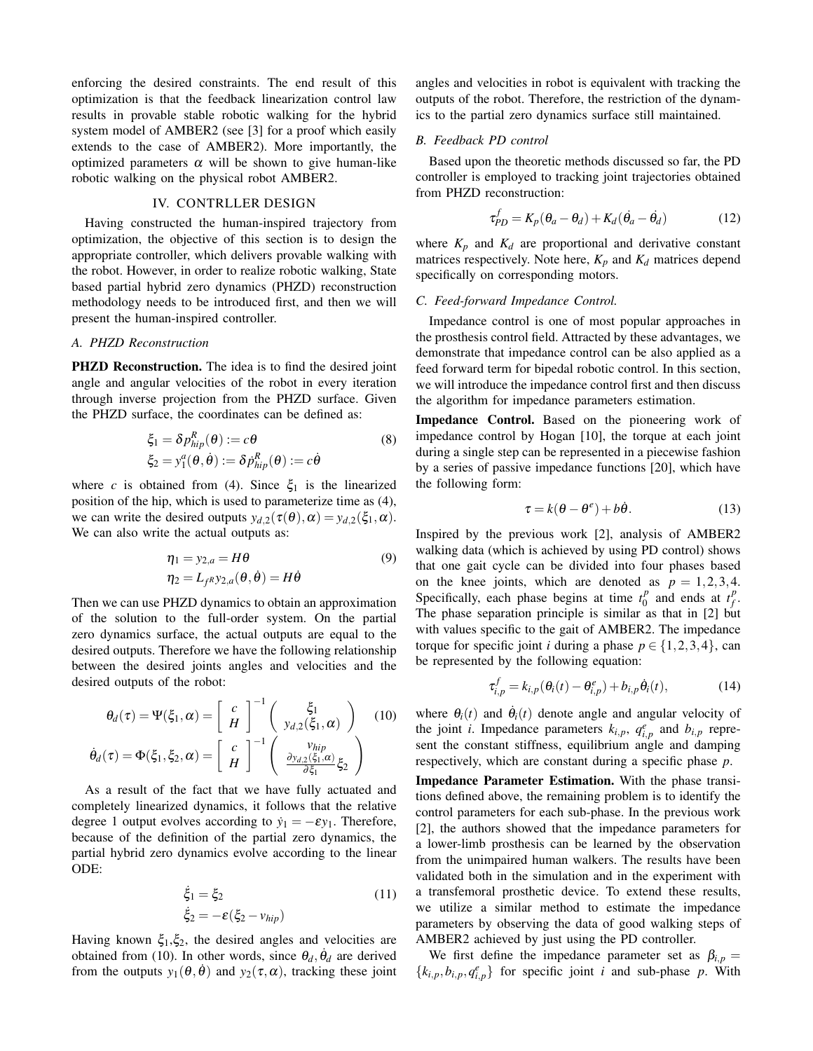enforcing the desired constraints. The end result of this optimization is that the feedback linearization control law results in provable stable robotic walking for the hybrid system model of AMBER2 (see [3] for a proof which easily extends to the case of AMBER2). More importantly, the optimized parameters  $\alpha$  will be shown to give human-like robotic walking on the physical robot AMBER2.

## IV. CONTRLLER DESIGN

Having constructed the human-inspired trajectory from optimization, the objective of this section is to design the appropriate controller, which delivers provable walking with the robot. However, in order to realize robotic walking, State based partial hybrid zero dynamics (PHZD) reconstruction methodology needs to be introduced first, and then we will present the human-inspired controller.

## *A. PHZD Reconstruction*

PHZD Reconstruction. The idea is to find the desired joint angle and angular velocities of the robot in every iteration through inverse projection from the PHZD surface. Given the PHZD surface, the coordinates can be defined as:

$$
\xi_1 = \delta p_{hip}^R(\theta) := c\theta
$$
  
\n
$$
\xi_2 = y_1^a(\theta, \dot{\theta}) := \delta \dot{p}_{hip}^R(\theta) := c\dot{\theta}
$$
\n(8)

where *c* is obtained from (4). Since  $\xi_1$  is the linearized position of the hip, which is used to parameterize time as (4), we can write the desired outputs  $y_{d,2}(\tau(\theta), \alpha) = y_{d,2}(\xi_1, \alpha)$ . We can also write the actual outputs as:

$$
\eta_1 = y_{2,a} = H\theta
$$
  
\n
$$
\eta_2 = L_{f^R} y_{2,a}(\theta, \dot{\theta}) = H\dot{\theta}
$$
\n(9)

Then we can use PHZD dynamics to obtain an approximation of the solution to the full-order system. On the partial zero dynamics surface, the actual outputs are equal to the desired outputs. Therefore we have the following relationship between the desired joints angles and velocities and the desired outputs of the robot:

$$
\theta_d(\tau) = \Psi(\xi_1, \alpha) = \begin{bmatrix} c \\ H \end{bmatrix}^{-1} \begin{pmatrix} \xi_1 \\ y_{d,2}(\xi_1, \alpha) \end{pmatrix}
$$
 (10)  

$$
\dot{\theta}_d(\tau) = \Phi(\xi_1, \xi_2, \alpha) = \begin{bmatrix} c \\ H \end{bmatrix}^{-1} \begin{pmatrix} v_{hip} \\ \frac{\partial y_{d,2}(\xi_1, \alpha)}{\partial \xi_1} \xi_2 \end{pmatrix}
$$

As a result of the fact that we have fully actuated and completely linearized dynamics, it follows that the relative degree 1 output evolves according to  $\dot{y}_1 = -\varepsilon y_1$ . Therefore, because of the definition of the partial zero dynamics, the partial hybrid zero dynamics evolve according to the linear ODE:

$$
\dot{\xi}_1 = \xi_2
$$
\n
$$
\dot{\xi}_2 = -\varepsilon (\xi_2 - v_{hip})
$$
\n(11)

Having known  $\xi_1, \xi_2$ , the desired angles and velocities are obtained from (10). In other words, since  $\theta_d$ ,  $\dot{\theta}_d$  are derived from the outputs  $y_1(\theta, \dot{\theta})$  and  $y_2(\tau, \alpha)$ , tracking these joint angles and velocities in robot is equivalent with tracking the outputs of the robot. Therefore, the restriction of the dynamics to the partial zero dynamics surface still maintained.

## *B. Feedback PD control*

Based upon the theoretic methods discussed so far, the PD controller is employed to tracking joint trajectories obtained from PHZD reconstruction:

$$
\tau_{PD}^f = K_p(\theta_a - \theta_d) + K_d(\dot{\theta}_a - \dot{\theta}_d)
$$
 (12)

where  $K_p$  and  $K_d$  are proportional and derivative constant matrices respectively. Note here,  $K_p$  and  $K_d$  matrices depend specifically on corresponding motors.

### *C. Feed-forward Impedance Control.*

Impedance control is one of most popular approaches in the prosthesis control field. Attracted by these advantages, we demonstrate that impedance control can be also applied as a feed forward term for bipedal robotic control. In this section, we will introduce the impedance control first and then discuss the algorithm for impedance parameters estimation.

Impedance Control. Based on the pioneering work of impedance control by Hogan [10], the torque at each joint during a single step can be represented in a piecewise fashion by a series of passive impedance functions [20], which have the following form:

$$
\tau = k(\theta - \theta^e) + b\dot{\theta}.
$$
 (13)

Inspired by the previous work [2], analysis of AMBER2 walking data (which is achieved by using PD control) shows that one gait cycle can be divided into four phases based on the knee joints, which are denoted as  $p = 1,2,3,4$ . Specifically, each phase begins at time  $t_0^p$  $\int_{0}^{p}$  and ends at  $t_f^p$ *f* . The phase separation principle is similar as that in [2] but with values specific to the gait of AMBER2. The impedance torque for specific joint *i* during a phase  $p \in \{1,2,3,4\}$ , can be represented by the following equation:

$$
\tau_{i,p}^f = k_{i,p}(\theta_i(t) - \theta_{i,p}^e) + b_{i,p}\dot{\theta}_i(t),
$$
\n(14)

where  $\theta_i(t)$  and  $\dot{\theta}_i(t)$  denote angle and angular velocity of the joint *i*. Impedance parameters  $k_{i,p}$ ,  $q_{i,p}^e$  and  $b_{i,p}$  represent the constant stiffness, equilibrium angle and damping respectively, which are constant during a specific phase *p*.

Impedance Parameter Estimation. With the phase transitions defined above, the remaining problem is to identify the control parameters for each sub-phase. In the previous work [2], the authors showed that the impedance parameters for a lower-limb prosthesis can be learned by the observation from the unimpaired human walkers. The results have been validated both in the simulation and in the experiment with a transfemoral prosthetic device. To extend these results, we utilize a similar method to estimate the impedance parameters by observing the data of good walking steps of AMBER2 achieved by just using the PD controller.

We first define the impedance parameter set as  $\beta_{i,p}$  =  ${k_{i,p}, b_{i,p}, q_{i,p}^e}$  for specific joint *i* and sub-phase *p*. With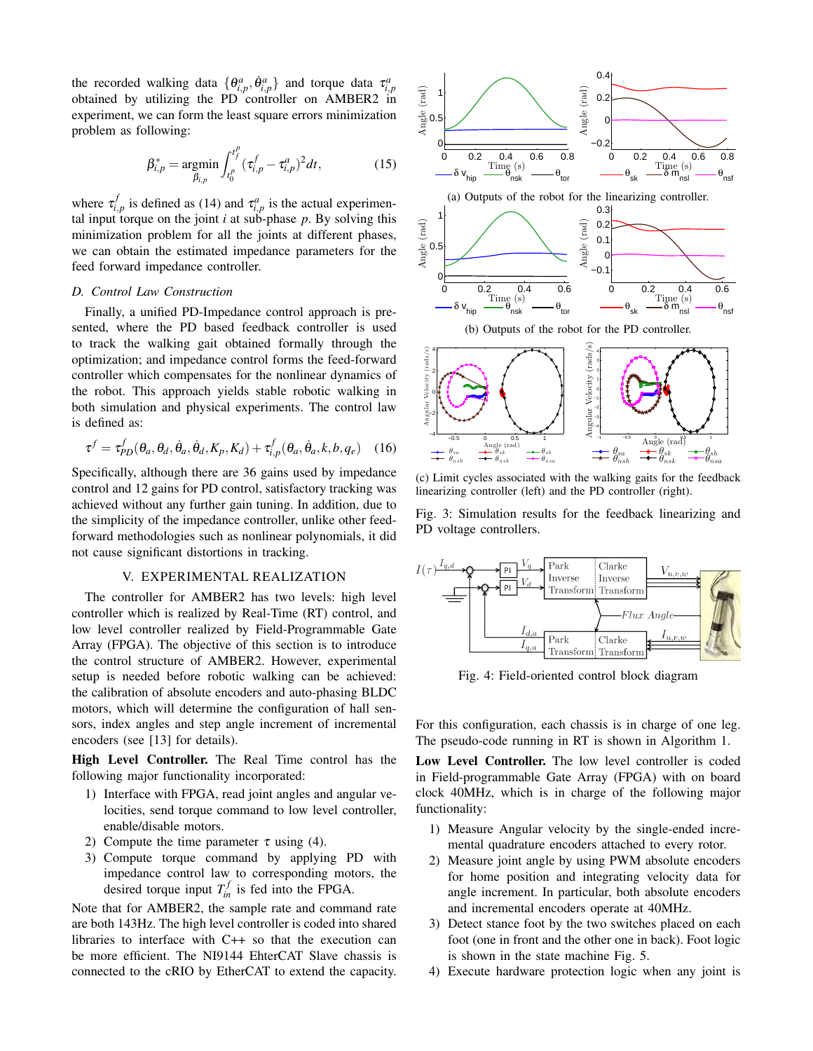the recorded walking data  $\{\theta^a_{i,p}, \dot{\theta}^a_{i,p}\}$  and torque data  $\tau^a_{i,p}$ obtained by utilizing the PD controller on AMBER2 in experiment, we can form the least square errors minimization problem as following:

$$
\beta_{i,p}^* = \underset{\beta_{i,p}}{\text{argmin}} \int_{t_0^p}^{t_f^p} (\tau_{i,p}^f - \tau_{i,p}^a)^2 dt, \qquad (15)
$$

where  $\tau_{i,p}^f$  is defined as (14) and  $\tau_{i,p}^a$  is the actual experimental input torque on the joint  $i$  at sub-phase  $p$ . By solving this minimization problem for all the joints at different phases, we can obtain the estimated impedance parameters for the feed forward impedance controller.

### *D. Control Law Construction*

Finally, a unified PD-Impedance control approach is presented, where the PD based feedback controller is used to track the walking gait obtained formally through the optimization; and impedance control forms the feed-forward controller which compensates for the nonlinear dynamics of the robot. This approach yields stable robotic walking in both simulation and physical experiments. The control law is defined as:

$$
\tau^f = \tau_{PD}^f(\theta_a, \theta_d, \dot{\theta}_a, \dot{\theta}_d, K_p, K_d) + \tau_{i,p}^f(\theta_a, \dot{\theta}_a, k, b, q_e)
$$
 (16)

Specifically, although there are 36 gains used by impedance control and 12 gains for PD control, satisfactory tracking was achieved without any further gain tuning. In addition, due to the simplicity of the impedance controller, unlike other feedforward methodologies such as nonlinear polynomials, it did not cause significant distortions in tracking.

## V. EXPERIMENTAL REALIZATION

The controller for AMBER2 has two levels: high level controller which is realized by Real-Time (RT) control, and low level controller realized by Field-Programmable Gate Array (FPGA). The objective of this section is to introduce the control structure of AMBER2. However, experimental setup is needed before robotic walking can be achieved: the calibration of absolute encoders and auto-phasing BLDC motors, which will determine the configuration of hall sensors, index angles and step angle increment of incremental encoders (see [13] for details).  $R_{\text{L}} = \frac{\text{exp}(\text{tan} \theta)}{R_{\text{L}}} = \frac{R_{\text{L}}}{R_{\text{L}}} = \frac{R_{\text{L}}}{R_{\text{R}}} = \frac{R_{\text{L}}}{R_{\text{R}}} = \frac{R_{\text{R}}}{R_{\text{R}}} = \frac{R_{\text{R}}}{R_{\text{R}}} = \frac{R_{\text{R}}}{R_{\text{R}}} = \frac{R_{\text{R}}}{R_{\text{R}}} = \frac{R_{\text{R}}}{R_{\text{R}}} = \frac{R_{\text{R}}}{R_{\text{R}}} = \frac{R_{\text{R}}}{R_{\text{R$ 

High Level Controller. The Real Time control has the following major functionality incorporated:

- 1) Interface with FPGA, read joint angles and angular velocities, send torque command to low level controller, enable/disable motors.
- 2) Compute the time parameter  $\tau$  using (4).
- 3) Compute torque command by applying PD with impedance control law to corresponding motors, the desired torque input  $T_{in}^f$  is fed into the FPGA.

Note that for AMBER2, the sample rate and command rate are both 143Hz. The high level controller is coded into shared libraries to interface with C++ so that the execution can be more efficient. The NI9144 EhterCAT Slave chassis is





(c) Limit cycles associated with the walking gaits for the feedback linearizing controller (left) and the PD controller (right).

Fig. 3: Simulation results for the feedback linearizing and PD voltage controllers.



Fig. 4: Field-oriented control block diagram

For this configuration, each chassis is in charge of one leg. The pseudo-code running in RT is shown in Algorithm 1.

Low Level Controller. The low level controller is coded in Field-programmable Gate Array (FPGA) with on board clock 40MHz, which is in charge of the following major functionality:

- 1) Measure Angular velocity by the single-ended incremental quadrature encoders attached to every rotor.
- 2) Measure joint angle by using PWM absolute encoders for home position and integrating velocity data for angle increment. In particular, both absolute encoders and incremental encoders operate at 40MHz.
- 3) Detect stance foot by the two switches placed on each foot (one in front and the other one in back). Foot logic is shown in the state machine Fig. 5.
- 4) Execute hardware protection logic when any joint is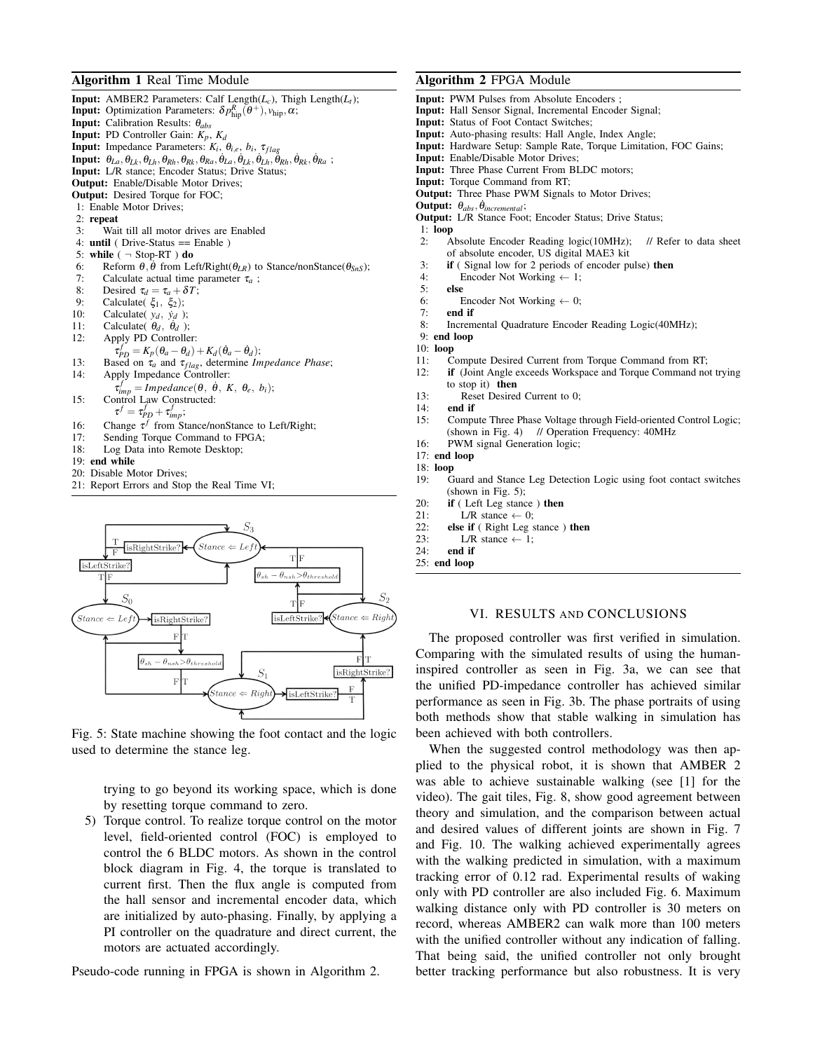## Algorithm 1 Real Time Module

**Input:** AMBER2 Parameters: Calf Length( $L_c$ ), Thigh Length( $L_t$ ); **Input:** Optimization Parameters:  $\delta p_{\text{hip}}^R(\theta^+), v_{\text{hip}}, \alpha;$ Input: Calibration Results: θ*abs* Input: PD Controller Gain: *Kp*, *K<sup>d</sup>* **Input:** Impedance Parameters:  $K_i$ ,  $\theta_{i,e}$ ,  $b_i$ ,  $\tau_{flag}$  ${\bf Input:}~~ \theta_{La}, \theta_{Lk}, \theta_{Lh}, \theta_{Rh}, \theta_{Rk}, \theta_{Ra}, \dot{\theta}_{La}, \dot{\theta}_{Lk}, \dot{\theta}_{Lh}, \ddot{\theta}_{Rh}, \dot{\theta}_{Rk}, \dot{\theta}_{Ra}~;$ Input: L/R stance; Encoder Status; Drive Status; Output: Enable/Disable Motor Drives; Output: Desired Torque for FOC; 1: Enable Motor Drives; 2:  $repeat$ <br>3: Wai Wait till all motor drives are Enabled 4: until ( Drive-Status == Enable ) 5: while  $( \neg$  Stop-RT  $)$  do 6: Reform  $\theta$ ,  $\dot{\theta}$  from Left/Right( $\theta_{LR}$ ) to Stance/nonStance( $\theta_{SnS}$ ); 7: Calculate actual time parameter  $\tau_a$ ;<br>8: Desired  $\tau_d = \tau_a + \delta T$ : 8: Desired  $\tau_d = \tau_a + \delta T$ ;<br>9: Calculate( $\xi_1, \xi_2$ ); 9: Calculate( $\xi_1$ ,  $\xi_2$ );<br>10: Calculate( $y_d$ ,  $\dot{y}_d$ ); 10: Calculate(  $y_d$ ,  $\dot{y}_d$  );<br>11: Calculate(  $\theta_d$ ,  $\dot{\theta}_d$  ); 11: Calculate( $\theta_d$ ,  $\dot{\theta}_d$ ); 12: Apply PD Controller:  $\tau_{PD}^f = K_p(\theta_a - \theta_d) + K_d(\theta_a - \theta_d);$ 13: Based on  $\tau_a$  and  $\tau_{flag}$ , determine *Impedance Phase*;<br>14: Apply Impedance Controller: Apply Impedance Controller:  $\tau_{imp}^f = \text{Impedance}(\theta, \dot{\theta}, K, \theta_e, b_i);$ 15: Control Law Constructed:  $\tau^f = \tau_{PD}^f + \tau_{imp}^f;$ 16: Change  $\tau^f$  from Stance/nonStance to Left/Right; 17: Sending Torque Command to FPGA; 18: Log Data into Remote Desktop; 19: end while

- 20: Disable Motor Drives;
- 21: Report Errors and Stop the Real Time VI;



Fig. 5: State machine showing the foot contact and the logic used to determine the stance leg.

trying to go beyond its working space, which is done by resetting torque command to zero.

5) Torque control. To realize torque control on the motor level, field-oriented control (FOC) is employed to control the 6 BLDC motors. As shown in the control block diagram in Fig. 4, the torque is translated to current first. Then the flux angle is computed from the hall sensor and incremental encoder data, which are initialized by auto-phasing. Finally, by applying a PI controller on the quadrature and direct current, the motors are actuated accordingly.

Pseudo-code running in FPGA is shown in Algorithm 2.

## Algorithm 2 FPGA Module

- Input: PWM Pulses from Absolute Encoders
- Input: Hall Sensor Signal, Incremental Encoder Signal;
- Input: Status of Foot Contact Switches;
- Input: Auto-phasing results: Hall Angle, Index Angle;
- Input: Hardware Setup: Sample Rate, Torque Limitation, FOC Gains;
- Input: Enable/Disable Motor Drives;
- Input: Three Phase Current From BLDC motors;
- Input: Torque Command from RT;
- Output: Three Phase PWM Signals to Motor Drives;
- **Output:**  $θ_{abs}$ ,  $θ_{incremental}$ ;
- Output: L/R Stance Foot; Encoder Status; Drive Status;
- 1: loop
- 2: Absolute Encoder Reading logic(10MHz); // Refer to data sheet of absolute encoder, US digital MAE3 kit
- 3: if ( Signal low for 2 periods of encoder pulse) then<br>4: Encoder Not Working  $\leftarrow$  1;
- Encoder Not Working  $\leftarrow$  1;
- 5: else
- 6: Encoder Not Working  $\leftarrow$  0;<br>7. **end if**
- end if
- 8: Incremental Quadrature Encoder Reading Logic(40MHz);
- 9: end loop

#### 10: loop

- 11: Compute Desired Current from Torque Command from RT;
- 12: if (Joint Angle exceeds Workspace and Torque Command not trying to stop it) then
- 13: Reset Desired Current to 0;
- 14: end if
- 15: Compute Three Phase Voltage through Field-oriented Control Logic; (shown in Fig. 4) // Operation Frequency: 40MHz
- 16: PWM signal Generation logic;

- 18: loop
- 19: Guard and Stance Leg Detection Logic using foot contact switches  $(shown in Fig. 5):$
- 20: if ( Left Leg stance ) then
- 21: L/R stance  $\leftarrow$  0;<br>22: **else if** (Right Leg s)
- 22: **else if** ( Right Leg stance ) **then**<br>23:  $L/R$  stance  $\leftarrow$  1;
- L/R stance  $\leftarrow$  1;
- 24: end if
- 25: end loop

## VI. RESULTS AND CONCLUSIONS

The proposed controller was first verified in simulation. Comparing with the simulated results of using the humaninspired controller as seen in Fig. 3a, we can see that the unified PD-impedance controller has achieved similar performance as seen in Fig. 3b. The phase portraits of using both methods show that stable walking in simulation has been achieved with both controllers.

When the suggested control methodology was then applied to the physical robot, it is shown that AMBER 2 was able to achieve sustainable walking (see [1] for the video). The gait tiles, Fig. 8, show good agreement between theory and simulation, and the comparison between actual and desired values of different joints are shown in Fig. 7 and Fig. 10. The walking achieved experimentally agrees with the walking predicted in simulation, with a maximum tracking error of 0.12 rad. Experimental results of waking only with PD controller are also included Fig. 6. Maximum walking distance only with PD controller is 30 meters on record, whereas AMBER2 can walk more than 100 meters with the unified controller without any indication of falling. That being said, the unified controller not only brought better tracking performance but also robustness. It is very

<sup>17:</sup> end loop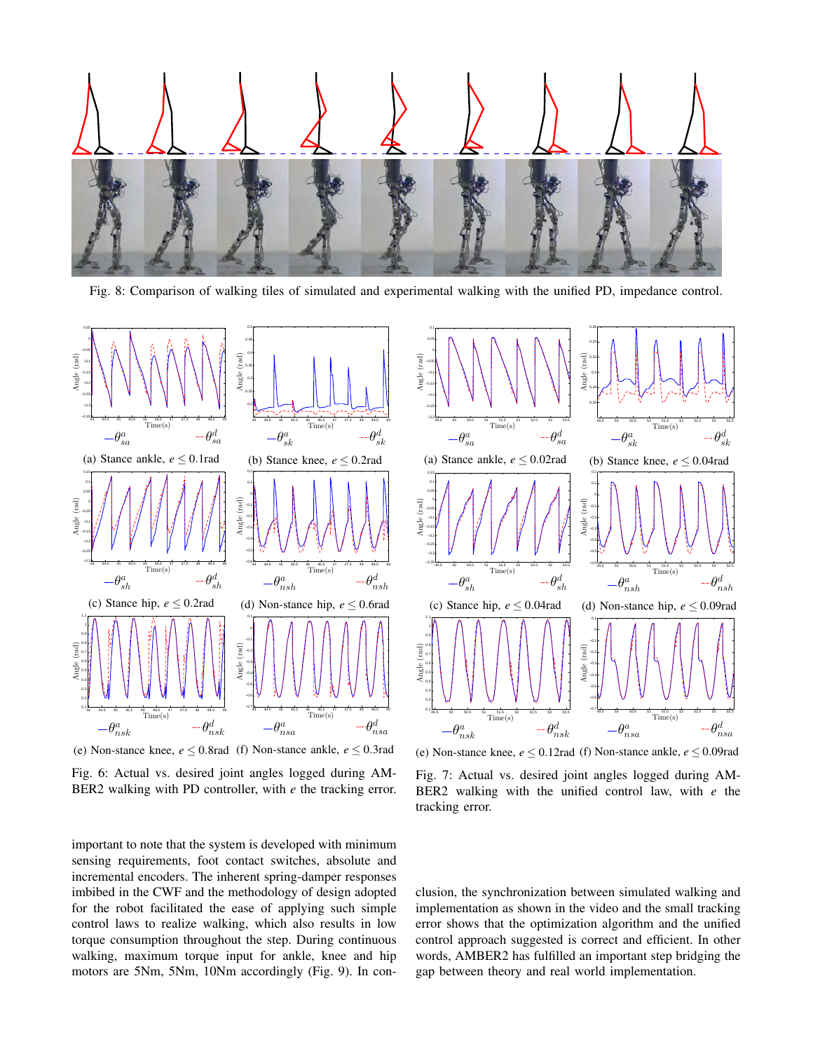

Fig. 8: Comparison of walking tiles of simulated and experimental walking with the unified PD, impedance control.



(e) Non-stance knee,  $e \le 0.8$ rad (f) Non-stance ankle,  $e \le 0.3$ rad

Fig. 6: Actual vs. desired joint angles logged during AM-BER2 walking with PD controller, with *e* the tracking error.



(e) Non-stance knee,  $e \le 0.12$  rad (f) Non-stance ankle,  $e \le 0.09$  rad

Fig. 7: Actual vs. desired joint angles logged during AM-BER2 walking with the unified control law, with *e* the tracking error.

important to note that the system is developed with minimum sensing requirements, foot contact switches, absolute and incremental encoders. The inherent spring-damper responses imbibed in the CWF and the methodology of design adopted for the robot facilitated the ease of applying such simple control laws to realize walking, which also results in low torque consumption throughout the step. During continuous walking, maximum torque input for ankle, knee and hip motors are 5Nm, 5Nm, 10Nm accordingly (Fig. 9). In con-

clusion, the synchronization between simulated walking and implementation as shown in the video and the small tracking error shows that the optimization algorithm and the unified control approach suggested is correct and efficient. In other words, AMBER2 has fulfilled an important step bridging the gap between theory and real world implementation.